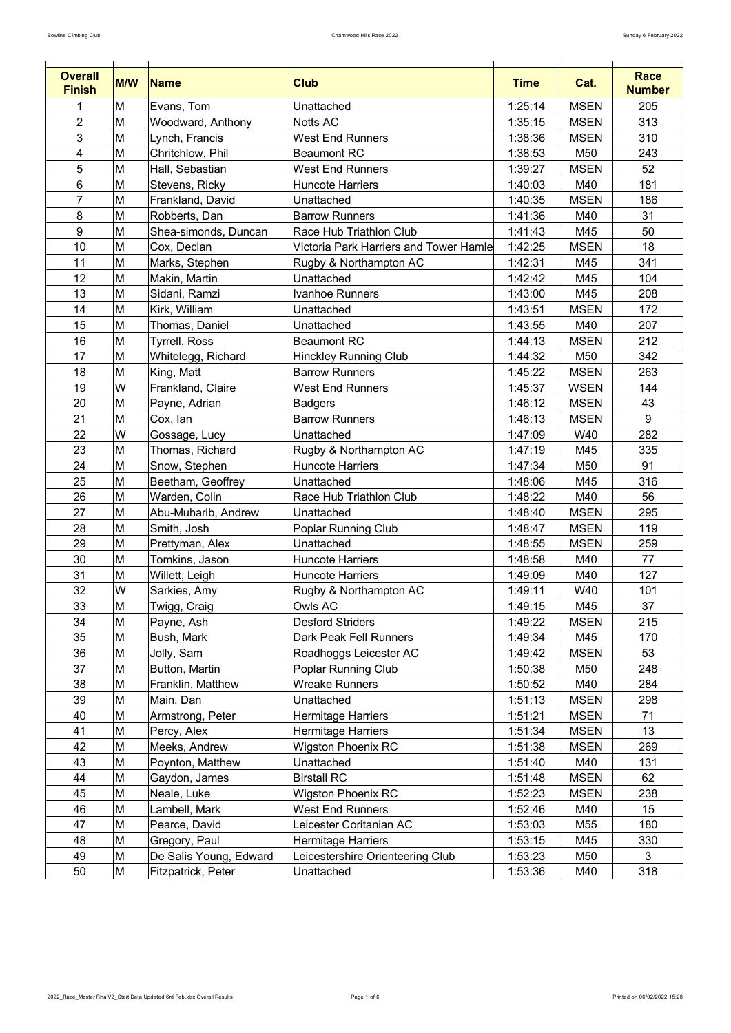| <b>Overall</b><br><b>Finish</b> | <b>M/W</b> | <b>Name</b>            | <b>Club</b>                                   | <b>Time</b> | Cat.        | <b>Race</b><br><b>Number</b> |
|---------------------------------|------------|------------------------|-----------------------------------------------|-------------|-------------|------------------------------|
|                                 | M          | Evans, Tom             | Unattached                                    | 1:25:14     | <b>MSEN</b> | 205                          |
| $\overline{2}$                  | M          | Woodward, Anthony      | <b>Notts AC</b>                               | 1:35:15     | <b>MSEN</b> | 313                          |
| 3                               | M          | Lynch, Francis         | <b>West End Runners</b>                       | 1:38:36     | <b>MSEN</b> | 310                          |
| 4                               | M          | Chritchlow, Phil       | <b>Beaumont RC</b>                            | 1:38:53     | M50         | 243                          |
| 5                               | M          | Hall, Sebastian        | <b>West End Runners</b>                       | 1:39:27     | <b>MSEN</b> | 52                           |
| $6\phantom{1}$                  | M          | Stevens, Ricky         | <b>Huncote Harriers</b>                       | 1:40:03     | M40         | 181                          |
| $\overline{7}$                  | M          | Frankland, David       | Unattached                                    | 1:40:35     | <b>MSEN</b> | 186                          |
| $\bf 8$                         | M          | Robberts, Dan          | <b>Barrow Runners</b>                         | 1:41:36     | M40         | 31                           |
| 9                               | M          | Shea-simonds, Duncan   | Race Hub Triathlon Club                       | 1:41:43     | M45         | 50                           |
| 10                              | M          | Cox, Declan            | <b>Victoria Park Harriers and Tower Hamle</b> | 1:42:25     | <b>MSEN</b> | 18                           |
| 11                              | M          | Marks, Stephen         | Rugby & Northampton AC                        | 1:42:31     | M45         | 341                          |
| 12                              | M          | Makin, Martin          | Unattached                                    | 1:42:42     | M45         | 104                          |
| 13                              | M          | Sidani, Ramzi          | <b>Ivanhoe Runners</b>                        | 1:43:00     | M45         | 208                          |
| 14                              | M          | Kirk, William          | Unattached                                    | 1:43:51     | <b>MSEN</b> | 172                          |
| 15                              | M          | Thomas, Daniel         | Unattached                                    | 1:43:55     | M40         | 207                          |
| 16                              | M          | <b>Tyrrell, Ross</b>   | <b>Beaumont RC</b>                            | 1:44:13     | <b>MSEN</b> | 212                          |
| 17                              | M          | Whitelegg, Richard     | <b>Hinckley Running Club</b>                  | 1:44:32     | M50         | 342                          |
| 18                              | M          | King, Matt             | <b>Barrow Runners</b>                         | 1:45:22     | <b>MSEN</b> | 263                          |
| 19                              | W          | Frankland, Claire      | <b>West End Runners</b>                       | 1:45:37     | <b>WSEN</b> | 144                          |
| 20                              | M          | Payne, Adrian          | <b>Badgers</b>                                | 1:46:12     | <b>MSEN</b> | 43                           |
| 21                              | M          | Cox, lan               | <b>Barrow Runners</b>                         | 1:46:13     | <b>MSEN</b> | 9                            |
| 22                              | W          | Gossage, Lucy          | Unattached                                    | 1:47:09     | W40         | 282                          |
| 23                              | ΙM         | Thomas, Richard        | Rugby & Northampton AC                        | 1:47:19     | M45         | 335                          |
| 24                              | M          | Snow, Stephen          | <b>Huncote Harriers</b>                       | 1:47:34     | M50         | 91                           |
| 25                              | M          | Beetham, Geoffrey      | Unattached                                    | 1:48:06     | M45         | 316                          |
| 26                              | M          | Warden, Colin          | Race Hub Triathlon Club                       | 1:48:22     | M40         | 56                           |
| 27                              | M          | Abu-Muharib, Andrew    | Unattached                                    | 1:48:40     | <b>MSEN</b> | 295                          |
| 28                              | M          | Smith, Josh            | <b>Poplar Running Club</b>                    | 1:48:47     | <b>MSEN</b> | 119                          |
| 29                              | M          | Prettyman, Alex        | Unattached                                    | 1:48:55     | <b>MSEN</b> | 259                          |
| 30                              | M          | Tomkins, Jason         | <b>Huncote Harriers</b>                       | 1:48:58     | M40         | 77                           |
| 31                              | M          | Willett, Leigh         | <b>Huncote Harriers</b>                       | 1:49:09     | M40         | 127                          |
| 32                              | W          | Sarkies, Amy           | Rugby & Northampton AC                        | 1:49:11     | W40         | 101                          |
| 33                              | M          | Twigg, Craig           | <b>Owls AC</b>                                | 1:49:15     | M45         | 37                           |
| 34                              | M          | Payne, Ash             | <b>Desford Striders</b>                       | 1:49:22     | <b>MSEN</b> | 215                          |
| 35                              | M          | Bush, Mark             | <b>Dark Peak Fell Runners</b>                 | 1:49:34     | M45         | 170                          |
| 36                              | M          | Jolly, Sam             | Roadhoggs Leicester AC                        | 1:49:42     | <b>MSEN</b> | 53                           |
| 37                              | M          | Button, Martin         | <b>Poplar Running Club</b>                    | 1:50:38     | M50         | 248                          |
| 38                              | M          | Franklin, Matthew      | <b>Wreake Runners</b>                         | 1:50:52     | M40         | 284                          |
| 39                              | M          | Main, Dan              | Unattached                                    | 1:51:13     | <b>MSEN</b> | 298                          |
| 40                              | M          | Armstrong, Peter       | Hermitage Harriers                            | 1:51:21     | <b>MSEN</b> | 71                           |
| 41                              | M          | Percy, Alex            | Hermitage Harriers                            | 1:51:34     | <b>MSEN</b> | 13                           |
| 42                              | M          | Meeks, Andrew          | <b>Wigston Phoenix RC</b>                     | 1:51:38     | <b>MSEN</b> | 269                          |
| 43                              | M          | Poynton, Matthew       | Unattached                                    | 1:51:40     | M40         | 131                          |
| 44                              | M          | Gaydon, James          | <b>Birstall RC</b>                            | 1:51:48     | <b>MSEN</b> | 62                           |
| 45                              | M          | Neale, Luke            | <b>Wigston Phoenix RC</b>                     | 1:52:23     | <b>MSEN</b> | 238                          |
| 46                              | M          | Lambell, Mark          | <b>West End Runners</b>                       | 1:52:46     | M40         | 15                           |
| 47                              | M          | Pearce, David          | Leicester Coritanian AC                       | 1:53:03     | M55         | 180                          |
| 48                              | M          | Gregory, Paul          | <b>Hermitage Harriers</b>                     | 1:53:15     | M45         | 330                          |
| 49                              | M          | De Salis Young, Edward | Leicestershire Orienteering Club              | 1:53:23     | M50         | 3                            |
| 50                              | M          | Fitzpatrick, Peter     | Unattached                                    | 1:53:36     | M40         | 318                          |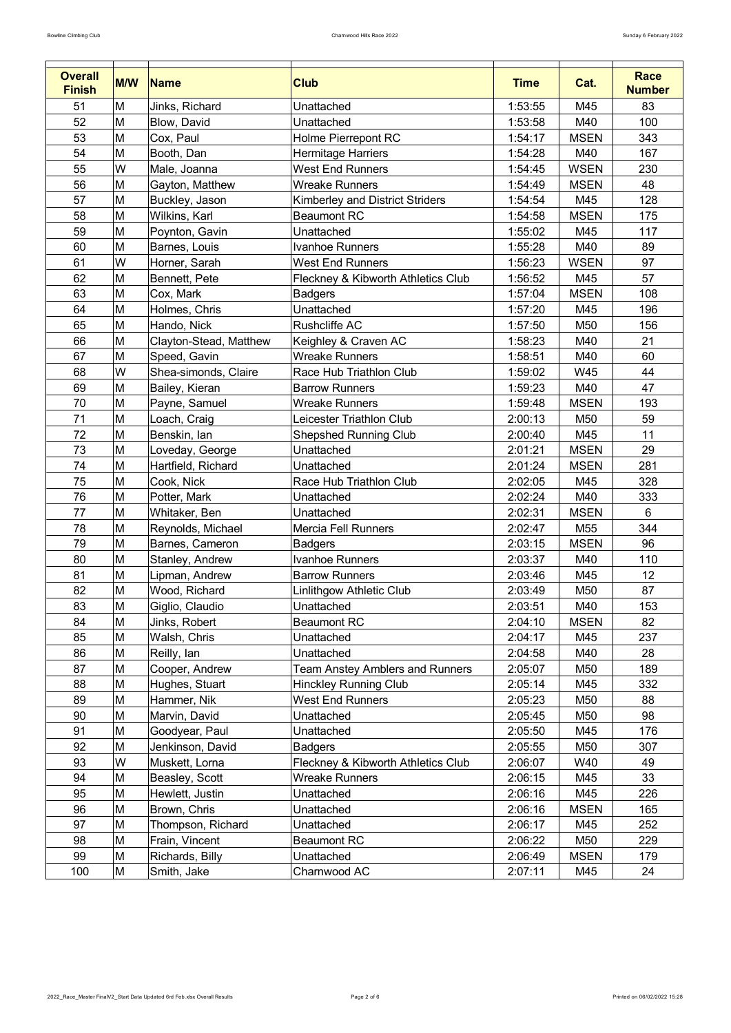| <b>Overall</b><br><b>Finish</b> | <b>M/W</b> | <b>Name</b>            | <b>Club</b>                            | <b>Time</b> | Cat.            | <b>Race</b><br><b>Number</b> |
|---------------------------------|------------|------------------------|----------------------------------------|-------------|-----------------|------------------------------|
| 51                              | M          | Jinks, Richard         | Unattached                             | 1:53:55     | M45             | 83                           |
| 52                              | M          | Blow, David            | Unattached                             | 1:53:58     | M40             | 100                          |
| 53                              | M          | Cox, Paul              | <b>Holme Pierrepont RC</b>             | 1:54:17     | <b>MSEN</b>     | 343                          |
| 54                              | M          | Booth, Dan             | <b>Hermitage Harriers</b>              | 1:54:28     | M40             | 167                          |
| 55                              | W          | Male, Joanna           | <b>West End Runners</b>                | 1:54:45     | <b>WSEN</b>     | 230                          |
| 56                              | M          | Gayton, Matthew        | <b>Wreake Runners</b>                  | 1:54:49     | <b>MSEN</b>     | 48                           |
| 57                              | M          | Buckley, Jason         | <b>Kimberley and District Striders</b> | 1:54:54     | M45             | 128                          |
| 58                              | M          | Wilkins, Karl          | <b>Beaumont RC</b>                     | 1:54:58     | <b>MSEN</b>     | 175                          |
| 59                              | M          | Poynton, Gavin         | Unattached                             | 1:55:02     | M45             | 117                          |
| 60                              | M          | Barnes, Louis          | <b>Ivanhoe Runners</b>                 | 1:55:28     | M40             | 89                           |
| 61                              | W          | Horner, Sarah          | <b>West End Runners</b>                | 1:56:23     | <b>WSEN</b>     | 97                           |
| 62                              | M          | Bennett, Pete          | Fleckney & Kibworth Athletics Club     | 1:56:52     | M45             | 57                           |
| 63                              | M          | Cox, Mark              | <b>Badgers</b>                         | 1:57:04     | <b>MSEN</b>     | 108                          |
| 64                              | M          | Holmes, Chris          | Unattached                             | 1:57:20     | M45             | 196                          |
| 65                              | M          | Hando, Nick            | <b>Rushcliffe AC</b>                   | 1:57:50     | M50             | 156                          |
| 66                              | M          | Clayton-Stead, Matthew | Keighley & Craven AC                   | 1:58:23     | M40             | 21                           |
| 67                              | M          | Speed, Gavin           | <b>Wreake Runners</b>                  | 1:58:51     | M40             | 60                           |
| 68                              | W          | Shea-simonds, Claire   | Race Hub Triathlon Club                | 1:59:02     | <b>W45</b>      | 44                           |
| 69                              | M          | Bailey, Kieran         | <b>Barrow Runners</b>                  | 1:59:23     | M40             | 47                           |
| 70                              | M          | Payne, Samuel          | <b>Wreake Runners</b>                  | 1:59:48     | <b>MSEN</b>     | 193                          |
| 71                              | M          | Loach, Craig           | Leicester Triathlon Club               | 2:00:13     | M50             | 59                           |
| 72                              | M          | Benskin, lan           | <b>Shepshed Running Club</b>           | 2:00:40     | M45             | 11                           |
| 73                              | M          | Loveday, George        | Unattached                             | 2:01:21     | <b>MSEN</b>     | 29                           |
| 74                              | M          | Hartfield, Richard     | Unattached                             | 2:01:24     | <b>MSEN</b>     | 281                          |
| 75                              | M          | Cook, Nick             | Race Hub Triathlon Club                | 2:02:05     | M45             | 328                          |
| 76                              | M          | Potter, Mark           | Unattached                             | 2:02:24     | M40             | 333                          |
| 77                              | M          | Whitaker, Ben          | Unattached                             | 2:02:31     | <b>MSEN</b>     | 6                            |
| 78                              | M          | Reynolds, Michael      | Mercia Fell Runners                    | 2:02:47     | M55             | 344                          |
| 79                              | M          | Barnes, Cameron        | <b>Badgers</b>                         | 2:03:15     | <b>MSEN</b>     | 96                           |
| 80                              | M          | Stanley, Andrew        | <b>Ivanhoe Runners</b>                 | 2:03:37     | M40             | 110                          |
| 81                              | M          | Lipman, Andrew         | <b>Barrow Runners</b>                  | 2:03:46     | M45             | 12                           |
| 82                              | M          | Wood, Richard          | Linlithgow Athletic Club               | 2:03:49     | M <sub>50</sub> | 87                           |
| 83                              | M          | Giglio, Claudio        | Unattached                             | 2:03:51     | M40             | 153                          |
| 84                              | M          | Jinks, Robert          | <b>Beaumont RC</b>                     | 2:04:10     | <b>MSEN</b>     | 82                           |
| 85                              | M          | Walsh, Chris           | Unattached                             | 2:04:17     | M45             | 237                          |
| 86                              | M          | Reilly, lan            | Unattached                             | 2:04:58     | M40             | 28                           |
| 87                              | M          | Cooper, Andrew         | <b>Team Anstey Amblers and Runners</b> | 2:05:07     | M <sub>50</sub> | 189                          |
| 88                              | M          | Hughes, Stuart         | <b>Hinckley Running Club</b>           | 2:05:14     | M45             | 332                          |
| 89                              | M          | Hammer, Nik            | <b>West End Runners</b>                | 2:05:23     | M <sub>50</sub> | 88                           |
| 90                              | M          | Marvin, David          | Unattached                             | 2:05:45     | M50             | 98                           |
| 91                              | M          | Goodyear, Paul         | <b>Unattached</b>                      | 2:05:50     | M45             | 176                          |
| 92                              | M          | Jenkinson, David       | <b>Badgers</b>                         | 2:05:55     | M <sub>50</sub> | 307                          |
| 93                              | W          | Muskett, Lorna         | Fleckney & Kibworth Athletics Club     | 2:06:07     | W40             | 49                           |
| 94                              | M          | Beasley, Scott         | <b>Wreake Runners</b>                  | 2:06:15     | M45             | 33                           |
| 95                              | M          | Hewlett, Justin        | <b>Unattached</b>                      | 2:06:16     | M45             | 226                          |
| 96                              | M          | Brown, Chris           | Unattached                             | 2:06:16     | <b>MSEN</b>     | 165                          |
| 97                              | M          | Thompson, Richard      | Unattached                             | 2:06:17     | M45             | 252                          |
| 98                              | ΙM         | Frain, Vincent         | <b>Beaumont RC</b>                     | 2:06:22     | M <sub>50</sub> | 229                          |
| 99                              | M          | Richards, Billy        | Unattached                             | 2:06:49     | <b>MSEN</b>     | 179                          |
| 100                             | M          | Smith, Jake            | Charnwood AC                           | 2:07:11     | M45             | 24                           |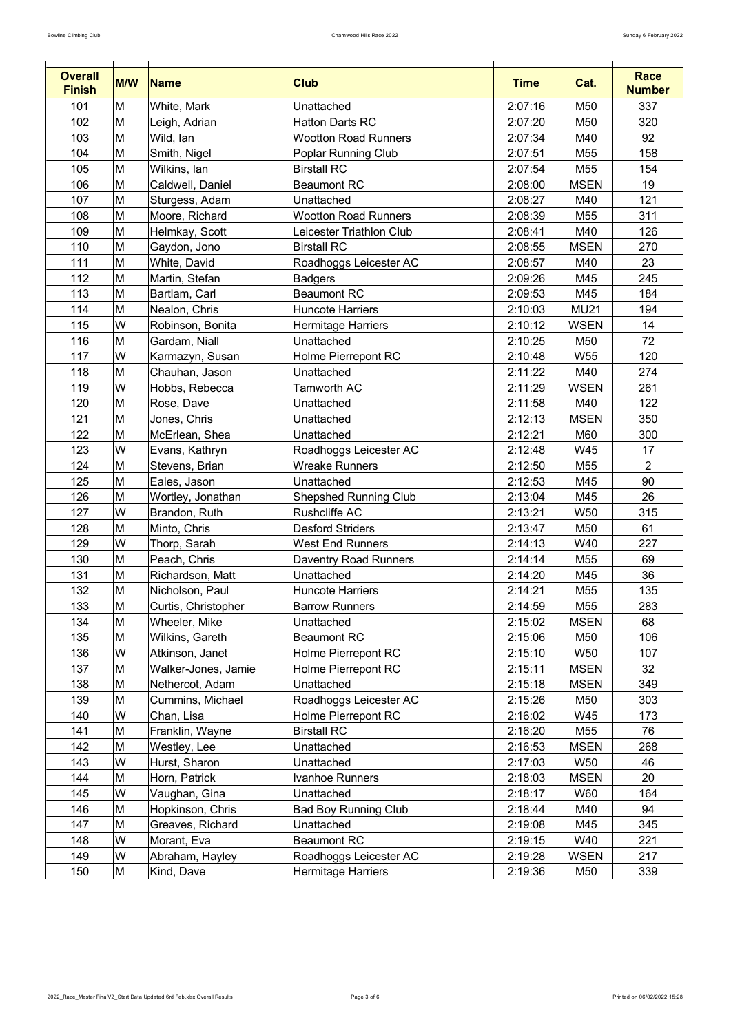| <b>Overall</b><br><b>Finish</b> | <b>M/W</b> | Name                | <b>Club</b>                  | <b>Time</b> | Cat.            | <b>Race</b><br><b>Number</b> |
|---------------------------------|------------|---------------------|------------------------------|-------------|-----------------|------------------------------|
| 101                             | M          | White, Mark         | Unattached                   | 2:07:16     | M50             | 337                          |
| 102                             | M          | Leigh, Adrian       | <b>Hatton Darts RC</b>       | 2:07:20     | M50             | 320                          |
| 103                             | M          | Wild, lan           | <b>Wootton Road Runners</b>  | 2:07:34     | M40             | 92                           |
| 104                             | M          | Smith, Nigel        | <b>Poplar Running Club</b>   | 2:07:51     | M <sub>55</sub> | 158                          |
| 105                             | M          | Wilkins, lan        | <b>Birstall RC</b>           | 2:07:54     | M <sub>55</sub> | 154                          |
| 106                             | M          | Caldwell, Daniel    | <b>Beaumont RC</b>           | 2:08:00     | <b>MSEN</b>     | 19                           |
| 107                             | M          | Sturgess, Adam      | Unattached                   | 2:08:27     | M40             | 121                          |
| 108                             | M          | Moore, Richard      | <b>Wootton Road Runners</b>  | 2:08:39     | M <sub>55</sub> | 311                          |
| 109                             | M          | Helmkay, Scott      | Leicester Triathlon Club     | 2:08:41     | M40             | 126                          |
| 110                             | M          | Gaydon, Jono        | <b>Birstall RC</b>           | 2:08:55     | <b>MSEN</b>     | 270                          |
| 111                             | M          | White, David        | Roadhoggs Leicester AC       | 2:08:57     | M40             | 23                           |
| 112                             | M          | Martin, Stefan      | <b>Badgers</b>               | 2:09:26     | M45             | 245                          |
| 113                             | M          | Bartlam, Carl       | <b>Beaumont RC</b>           | 2:09:53     | M45             | 184                          |
| 114                             | M          | Nealon, Chris       | <b>Huncote Harriers</b>      | 2:10:03     | <b>MU21</b>     | 194                          |
| 115                             | W          | Robinson, Bonita    | Hermitage Harriers           | 2:10:12     | <b>WSEN</b>     | 14                           |
| 116                             | M          | Gardam, Niall       | Unattached                   | 2:10:25     | M50             | 72                           |
| 117                             | W          | Karmazyn, Susan     | <b>Holme Pierrepont RC</b>   | 2:10:48     | W <sub>55</sub> | 120                          |
| 118                             | M          | Chauhan, Jason      | Unattached                   | 2:11:22     | M40             | 274                          |
| 119                             | W          | Hobbs, Rebecca      | <b>Tamworth AC</b>           | 2:11:29     | <b>WSEN</b>     | 261                          |
| 120                             | M          | Rose, Dave          | Unattached                   | 2:11:58     | M40             | 122                          |
| 121                             | M          | Jones, Chris        | Unattached                   | 2:12:13     | <b>MSEN</b>     | 350                          |
| 122                             | M          | McErlean, Shea      | Unattached                   | 2:12:21     | M60             | 300                          |
| 123                             | ΙW         | Evans, Kathryn      | Roadhoggs Leicester AC       | 2:12:48     | W45             | 17                           |
| 124                             | M          | Stevens, Brian      | <b>Wreake Runners</b>        | 2:12:50     | M55             | $\overline{2}$               |
| 125                             | M          | Eales, Jason        | Unattached                   | 2:12:53     | M45             | 90                           |
| 126                             | M          | Wortley, Jonathan   | <b>Shepshed Running Club</b> | 2:13:04     | M45             | 26                           |
| 127                             | W          | Brandon, Ruth       | <b>Rushcliffe AC</b>         | 2:13:21     | <b>W50</b>      | 315                          |
| 128                             | M          | Minto, Chris        | <b>Desford Striders</b>      | 2:13:47     | M50             | 61                           |
| 129                             | W          | Thorp, Sarah        | <b>West End Runners</b>      | 2:14:13     | W40             | 227                          |
| 130                             | M          | Peach, Chris        | <b>Daventry Road Runners</b> | 2:14:14     | M55             | 69                           |
| 131                             | M          | Richardson, Matt    | Unattached                   | 2:14:20     | M45             | 36                           |
| 132                             | M          | Nicholson, Paul     | <b>Huncote Harriers</b>      | 2:14:21     | M55             | 135                          |
| 133                             | M          | Curtis, Christopher | <b>Barrow Runners</b>        | 2:14:59     | M55             | 283                          |
| 134                             | M          | Wheeler, Mike       | Unattached                   | 2:15:02     | <b>MSEN</b>     | 68                           |
| 135                             | M          | Wilkins, Gareth     | <b>Beaumont RC</b>           | 2:15:06     | M50             | 106                          |
| 136                             | W          | Atkinson, Janet     | <b>Holme Pierrepont RC</b>   | 2:15:10     | W50             | 107                          |
| 137                             | M          | Walker-Jones, Jamie | <b>Holme Pierrepont RC</b>   | 2:15:11     | <b>MSEN</b>     | 32                           |
| 138                             | M          | Nethercot, Adam     | Unattached                   | 2:15:18     | <b>MSEN</b>     | 349                          |
| 139                             | M          | Cummins, Michael    | Roadhoggs Leicester AC       | 2:15:26     | M50             | 303                          |
| 140                             | W          | Chan, Lisa          | <b>Holme Pierrepont RC</b>   | 2:16:02     | W45             | 173                          |
| 141                             | M          | Franklin, Wayne     | <b>Birstall RC</b>           | 2:16:20     | M55             | 76                           |
| 142                             | M          | Westley, Lee        | Unattached                   | 2:16:53     | <b>MSEN</b>     | 268                          |
| 143                             | W          | Hurst, Sharon       | <b>Unattached</b>            | 2:17:03     | <b>W50</b>      | 46                           |
| 144                             | M          | Horn, Patrick       | <b>Ivanhoe Runners</b>       | 2:18:03     | <b>MSEN</b>     | 20                           |
| 145                             | W          | Vaughan, Gina       | <b>Unattached</b>            | 2:18:17     | W60             | 164                          |
| 146                             | M          | Hopkinson, Chris    | <b>Bad Boy Running Club</b>  | 2:18:44     | M40             | 94                           |
| 147                             | M          | Greaves, Richard    | Unattached                   | 2:19:08     | M45             | 345                          |
| 148                             | W          | Morant, Eva         | <b>Beaumont RC</b>           | 2:19:15     | W40             | 221                          |
| 149                             | W          | Abraham, Hayley     | Roadhoggs Leicester AC       | 2:19:28     | <b>WSEN</b>     | 217                          |
| 150                             | M          | Kind, Dave          | <b>Hermitage Harriers</b>    | 2:19:36     | M50             | 339                          |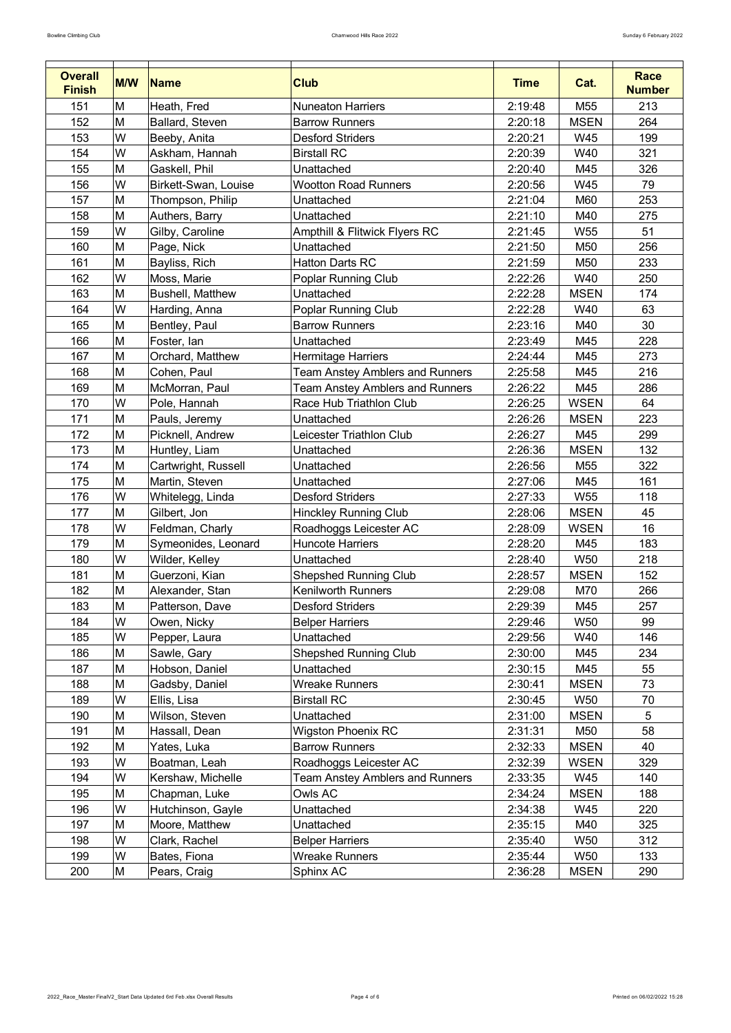| <b>Overall</b> | <b>M/W</b> | <b>Name</b>             | <b>Club</b>                            | <b>Time</b> | Cat.            | <b>Race</b>   |
|----------------|------------|-------------------------|----------------------------------------|-------------|-----------------|---------------|
| <b>Finish</b>  |            |                         |                                        |             |                 | <b>Number</b> |
| 151            | M          | Heath, Fred             | <b>Nuneaton Harriers</b>               | 2:19:48     | M <sub>55</sub> | 213           |
| 152            | M          | <b>Ballard, Steven</b>  | <b>Barrow Runners</b>                  | 2:20:18     | <b>MSEN</b>     | 264           |
| 153            | W          | Beeby, Anita            | <b>Desford Striders</b>                | 2:20:21     | W45             | 199           |
| 154            | W          | Askham, Hannah          | <b>Birstall RC</b>                     | 2:20:39     | W40             | 321           |
| 155            | M          | Gaskell, Phil           | Unattached                             | 2:20:40     | M45             | 326           |
| 156            | W          | Birkett-Swan, Louise    | <b>Wootton Road Runners</b>            | 2:20:56     | W45             | 79            |
| 157            | M          | Thompson, Philip        | Unattached                             | 2:21:04     | M60             | 253           |
| 158            | M          | Authers, Barry          | Unattached                             | 2:21:10     | M40             | 275           |
| 159            | W          | Gilby, Caroline         | Ampthill & Flitwick Flyers RC          | 2:21:45     | W <sub>55</sub> | 51            |
| 160            | M          | Page, Nick              | Unattached                             | 2:21:50     | M50             | 256           |
| 161            | M          | Bayliss, Rich           | <b>Hatton Darts RC</b>                 | 2:21:59     | M50             | 233           |
| 162            | W          | Moss, Marie             | <b>Poplar Running Club</b>             | 2:22:26     | W40             | 250           |
| 163            | M          | <b>Bushell, Matthew</b> | Unattached                             | 2:22:28     | <b>MSEN</b>     | 174           |
| 164            | W          | Harding, Anna           | <b>Poplar Running Club</b>             | 2:22:28     | W40             | 63            |
| 165            | M          | Bentley, Paul           | <b>Barrow Runners</b>                  | 2:23:16     | M40             | 30            |
| 166            | M          | Foster, lan             | Unattached                             | 2:23:49     | M45             | 228           |
| 167            | M          | Orchard, Matthew        | <b>Hermitage Harriers</b>              | 2:24:44     | M45             | 273           |
| 168            | M          | Cohen, Paul             | <b>Team Anstey Amblers and Runners</b> | 2:25:58     | M45             | 216           |
| 169            | Μ          | McMorran, Paul          | <b>Team Anstey Amblers and Runners</b> | 2:26:22     | M45             | 286           |
| 170            | W          | Pole, Hannah            | Race Hub Triathlon Club                | 2:26:25     | <b>WSEN</b>     | 64            |
| 171            | M          | Pauls, Jeremy           | Unattached                             | 2:26:26     | <b>MSEN</b>     | 223           |
| 172            | M          | Picknell, Andrew        | Leicester Triathlon Club               | 2:26:27     | M45             | 299           |
| 173            | M          | Huntley, Liam           | Unattached                             | 2:26:36     | <b>MSEN</b>     | 132           |
| 174            | M          | Cartwright, Russell     | Unattached                             | 2:26:56     | M <sub>55</sub> | 322           |
| 175            | M          | Martin, Steven          | Unattached                             | 2:27:06     | M45             | 161           |
| 176            | W          | Whitelegg, Linda        | <b>Desford Striders</b>                | 2:27:33     | W <sub>55</sub> | 118           |
| 177            | M          | Gilbert, Jon            | <b>Hinckley Running Club</b>           | 2:28:06     | <b>MSEN</b>     | 45            |
| 178            | W          | Feldman, Charly         | Roadhoggs Leicester AC                 | 2:28:09     | <b>WSEN</b>     | 16            |
| 179            | M          | Symeonides, Leonard     | <b>Huncote Harriers</b>                | 2:28:20     | M45             | 183           |
| 180            | W          | Wilder, Kelley          | Unattached                             | 2:28:40     | <b>W50</b>      | 218           |
| 181            | M          | Guerzoni, Kian          | <b>Shepshed Running Club</b>           | 2:28:57     | <b>MSEN</b>     | 152           |
| 182            | M          | Alexander, Stan         | <b>Kenilworth Runners</b>              | 2:29:08     | M70             | 266           |
| 183            | M          | Patterson, Dave         | <b>Desford Striders</b>                | 2:29:39     | M45             | 257           |
| 184            | W          | Owen, Nicky             | <b>Belper Harriers</b>                 | 2:29:46     | <b>W50</b>      | 99            |
| 185            | W          | Pepper, Laura           | Unattached                             | 2:29:56     | W40             | 146           |
| 186            | M          | Sawle, Gary             | <b>Shepshed Running Club</b>           | 2:30:00     | M45             | 234           |
| 187            | M          | Hobson, Daniel          | Unattached                             | 2:30:15     | M45             | 55            |
| 188            | M          | Gadsby, Daniel          | <b>Wreake Runners</b>                  | 2:30:41     | <b>MSEN</b>     | 73            |
| 189            | W          | Ellis, Lisa             | <b>Birstall RC</b>                     | 2:30:45     | <b>W50</b>      | 70            |
| 190            | M          | Wilson, Steven          | Unattached                             | 2:31:00     | <b>MSEN</b>     | 5             |
| 191            | M          | Hassall, Dean           | <b>Wigston Phoenix RC</b>              | 2:31:31     | M50             | 58            |
| 192            | M          | Yates, Luka             | <b>Barrow Runners</b>                  | 2:32:33     | <b>MSEN</b>     | 40            |
| 193            | W          | Boatman, Leah           | Roadhoggs Leicester AC                 | 2:32:39     | <b>WSEN</b>     | 329           |
| 194            | W          | Kershaw, Michelle       | <b>Team Anstey Amblers and Runners</b> | 2:33:35     | W45             | 140           |
| 195            | M          | Chapman, Luke           | Owls AC                                | 2:34:24     | <b>MSEN</b>     | 188           |
| 196            | W          | Hutchinson, Gayle       | Unattached                             | 2:34:38     | W45             | 220           |
| 197            | M          | Moore, Matthew          | Unattached                             | 2:35:15     | M40             | 325           |
| 198            | W          | Clark, Rachel           | <b>Belper Harriers</b>                 | 2:35:40     | <b>W50</b>      | 312           |
| 199            | W          | Bates, Fiona            | <b>Wreake Runners</b>                  | 2:35:44     | <b>W50</b>      | 133           |
| 200            | М          | Pears, Craig            | Sphinx AC                              | 2:36:28     | <b>MSEN</b>     | 290           |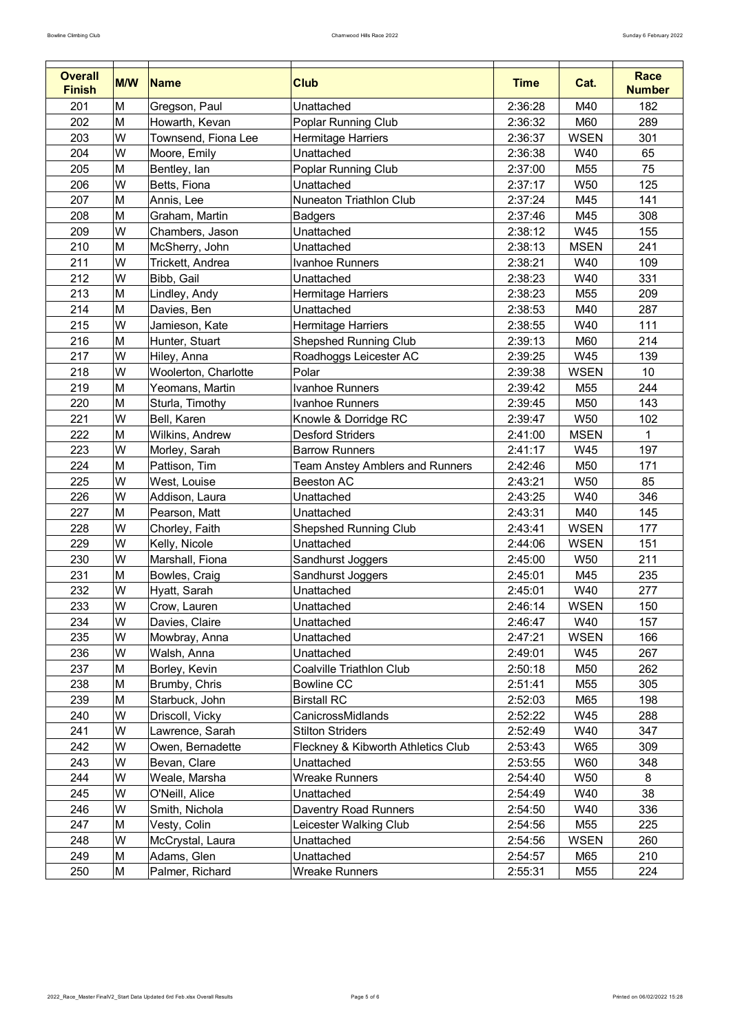| <b>Overall</b> |            |                      |                                        |             |                 | <b>Race</b>   |
|----------------|------------|----------------------|----------------------------------------|-------------|-----------------|---------------|
| <b>Finish</b>  | <b>M/W</b> | Name                 | <b>Club</b>                            | <b>Time</b> | Cat.            | <b>Number</b> |
| 201            | M          | Gregson, Paul        | Unattached                             | 2:36:28     | M40             | 182           |
| 202            | M          | Howarth, Kevan       | <b>Poplar Running Club</b>             | 2:36:32     | M60             | 289           |
| 203            | W          | Townsend, Fiona Lee  | Hermitage Harriers                     | 2:36:37     | <b>WSEN</b>     | 301           |
| 204            | W          | Moore, Emily         | Unattached                             | 2:36:38     | W40             | 65            |
| 205            | M          | Bentley, lan         | <b>Poplar Running Club</b>             | 2:37:00     | M <sub>55</sub> | 75            |
| 206            | W          | Betts, Fiona         | Unattached                             | 2:37:17     | <b>W50</b>      | 125           |
| 207            | M          | Annis, Lee           | Nuneaton Triathlon Club                | 2:37:24     | M45             | 141           |
| 208            | M          | Graham, Martin       | <b>Badgers</b>                         | 2:37:46     | M45             | 308           |
| 209            | W          | Chambers, Jason      | Unattached                             | 2:38:12     | W45             | 155           |
| 210            | M          | McSherry, John       | Unattached                             | 2:38:13     | <b>MSEN</b>     | 241           |
| 211            | W          | Trickett, Andrea     | <b>Ivanhoe Runners</b>                 | 2:38:21     | W40             | 109           |
| 212            | W          | Bibb, Gail           | Unattached                             | 2:38:23     | W40             | 331           |
| 213            | M          | Lindley, Andy        | <b>Hermitage Harriers</b>              | 2:38:23     | M <sub>55</sub> | 209           |
| 214            | M          | Davies, Ben          | Unattached                             | 2:38:53     | M40             | 287           |
| 215            | W          | Jamieson, Kate       | Hermitage Harriers                     | 2:38:55     | W40             | 111           |
| 216            | M          | Hunter, Stuart       | <b>Shepshed Running Club</b>           | 2:39:13     | M60             | 214           |
| 217            | W          | Hiley, Anna          | Roadhoggs Leicester AC                 | 2:39:25     | W45             | 139           |
| 218            | W          | Woolerton, Charlotte | Polar                                  | 2:39:38     | <b>WSEN</b>     | 10            |
| 219            | M          | Yeomans, Martin      | Ivanhoe Runners                        | 2:39:42     | M <sub>55</sub> | 244           |
| 220            | M          | Sturla, Timothy      | <b>Ivanhoe Runners</b>                 | 2:39:45     | M50             | 143           |
| 221            | W          | Bell, Karen          | Knowle & Dorridge RC                   | 2:39:47     | <b>W50</b>      | 102           |
| 222            | M          | Wilkins, Andrew      | <b>Desford Striders</b>                | 2:41:00     | <b>MSEN</b>     |               |
| 223            | W          | Morley, Sarah        | <b>Barrow Runners</b>                  | 2:41:17     | W45             | 197           |
| 224            | M          | Pattison, Tim        | <b>Team Anstey Amblers and Runners</b> | 2:42:46     | M50             | 171           |
| 225            | W          | West, Louise         | <b>Beeston AC</b>                      | 2:43:21     | <b>W50</b>      | 85            |
| 226            | W          | Addison, Laura       | Unattached                             | 2:43:25     | W40             | 346           |
| 227            | M          | Pearson, Matt        | Unattached                             | 2:43:31     | M40             | 145           |
| 228            | W          | Chorley, Faith       | <b>Shepshed Running Club</b>           | 2:43:41     | <b>WSEN</b>     | 177           |
| 229            | W          | Kelly, Nicole        | <b>Unattached</b>                      | 2:44:06     | <b>WSEN</b>     | 151           |
| 230            | W          | Marshall, Fiona      | Sandhurst Joggers                      | 2:45:00     | <b>W50</b>      | 211           |
| 231            | M          | Bowles, Craig        | Sandhurst Joggers                      | 2:45:01     | M45             | 235           |
| 232            | W          | Hyatt, Sarah         | Unattached                             | 2:45:01     | W40             | 277           |
| 233            | W          | Crow, Lauren         | Unattached                             | 2:46:14     | <b>WSEN</b>     | 150           |
| 234            | W          | Davies, Claire       | Unattached                             | 2:46:47     | W40             | 157           |
| 235            | W          | Mowbray, Anna        | Unattached                             | 2:47:21     | <b>WSEN</b>     | 166           |
| 236            | W          | Walsh, Anna          | Unattached                             | 2:49:01     | W45             | 267           |
| 237            | M          | Borley, Kevin        | <b>Coalville Triathlon Club</b>        | 2:50:18     | M50             | 262           |
| 238            | M          | Brumby, Chris        | <b>Bowline CC</b>                      | 2:51:41     | M <sub>55</sub> | 305           |
| 239            | M          | Starbuck, John       | <b>Birstall RC</b>                     | 2:52:03     | M65             | 198           |
| 240            | W          | Driscoll, Vicky      | CanicrossMidlands                      | 2:52:22     | W45             | 288           |
| 241            | W          | Lawrence, Sarah      | <b>Stilton Striders</b>                | 2:52:49     | W40             | 347           |
| 242            | W          | Owen, Bernadette     | Fleckney & Kibworth Athletics Club     | 2:53:43     | W65             | 309           |
| 243            | W          | Bevan, Clare         | Unattached                             | 2:53:55     | W60             | 348           |
| 244            | W          | Weale, Marsha        | <b>Wreake Runners</b>                  | 2:54:40     | <b>W50</b>      | 8             |
| 245            | W          | O'Neill, Alice       | Unattached                             | 2:54:49     | W40             | 38            |
| 246            | W          | Smith, Nichola       | <b>Daventry Road Runners</b>           | 2:54:50     | W40             | 336           |
| 247            | M          | Vesty, Colin         | Leicester Walking Club                 | 2:54:56     | M55             | 225           |
| 248            | W          | McCrystal, Laura     | Unattached                             | 2:54:56     | <b>WSEN</b>     | 260           |
| 249            | M          | Adams, Glen          | Unattached                             | 2:54:57     | M65             | 210           |
| 250            | M          | Palmer, Richard      | <b>Wreake Runners</b>                  | 2:55:31     | M55             | 224           |